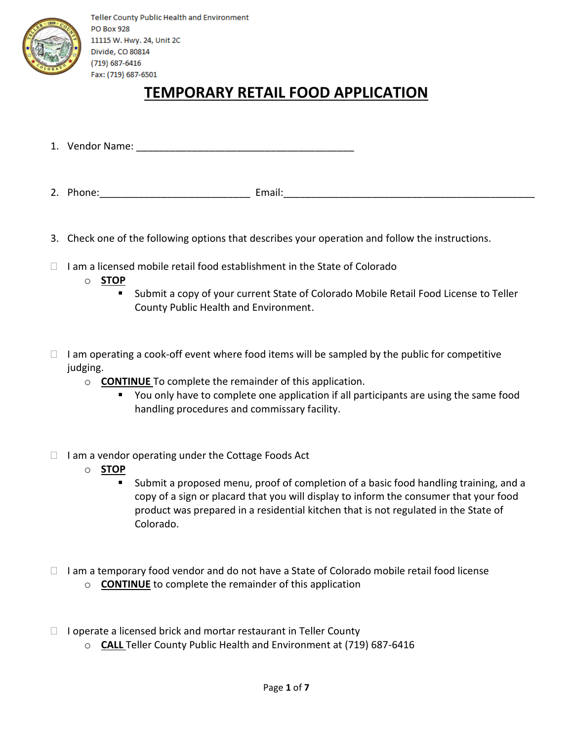

## **TEMPORARY RETAIL FOOD APPLICATION**

- 1. Vendor Name: \_\_\_\_\_\_\_\_\_\_\_\_\_\_\_\_\_\_\_\_\_\_\_\_\_\_\_\_\_\_\_\_\_\_\_\_\_\_\_
- 2. Phone:\_\_\_\_\_\_\_\_\_\_\_\_\_\_\_\_\_\_\_\_\_\_\_\_\_\_\_ Email:\_\_\_\_\_\_\_\_\_\_\_\_\_\_\_\_\_\_\_\_\_\_\_\_\_\_\_\_\_\_\_\_\_\_\_\_\_\_\_\_\_\_\_\_\_
- 3. Check one of the following options that describes your operation and follow the instructions.
- $\Box$  I am a licensed mobile retail food establishment in the State of Colorado
	- o **STOP** 
		- Submit a copy of your current State of Colorado Mobile Retail Food License to Teller County Public Health and Environment.
- $\Box$  I am operating a cook-off event where food items will be sampled by the public for competitive judging.
	- o **CONTINUE** To complete the remainder of this application.
		- **•** You only have to complete one application if all participants are using the same food handling procedures and commissary facility.
- $\Box$  I am a vendor operating under the Cottage Foods Act
	- o **STOP**
		- Submit a proposed menu, proof of completion of a basic food handling training, and a copy of a sign or placard that you will display to inform the consumer that your food product was prepared in a residential kitchen that is not regulated in the State of Colorado.
- $\Box$  I am a temporary food vendor and do not have a State of Colorado mobile retail food license
	- o **CONTINUE** to complete the remainder of this application
- $\Box$  I operate a licensed brick and mortar restaurant in Teller County
	- o **CALL** Teller County Public Health and Environment at (719) 687-6416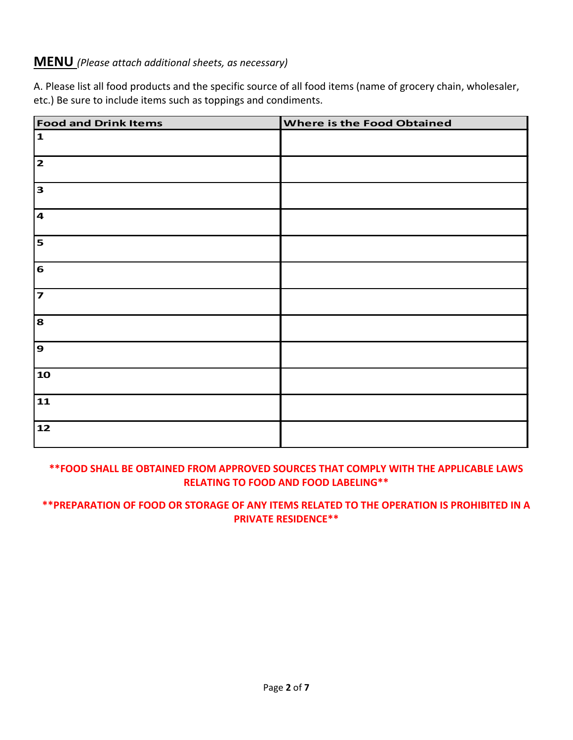#### **MENU** *(Please attach additional sheets, as necessary)*

A. Please list all food products and the specific source of all food items (name of grocery chain, wholesaler, etc.) Be sure to include items such as toppings and condiments.

| <b>Food and Drink Items</b> | Where is the Food Obtained |
|-----------------------------|----------------------------|
| $\mathbf{1}$                |                            |
| $\overline{\mathbf{z}}$     |                            |
| $\mathbf{3}$                |                            |
| $\overline{\mathbf{4}}$     |                            |
| 5                           |                            |
| $\mathbf{6}$                |                            |
| $\overline{\mathbf{z}}$     |                            |
| 8                           |                            |
| $\mathbf{9}$                |                            |
| 10                          |                            |
| 11                          |                            |
| 12                          |                            |

#### **\*\*FOOD SHALL BE OBTAINED FROM APPROVED SOURCES THAT COMPLY WITH THE APPLICABLE LAWS RELATING TO FOOD AND FOOD LABELING\*\***

#### **\*\*PREPARATION OF FOOD OR STORAGE OF ANY ITEMS RELATED TO THE OPERATION IS PROHIBITED IN A PRIVATE RESIDENCE\*\***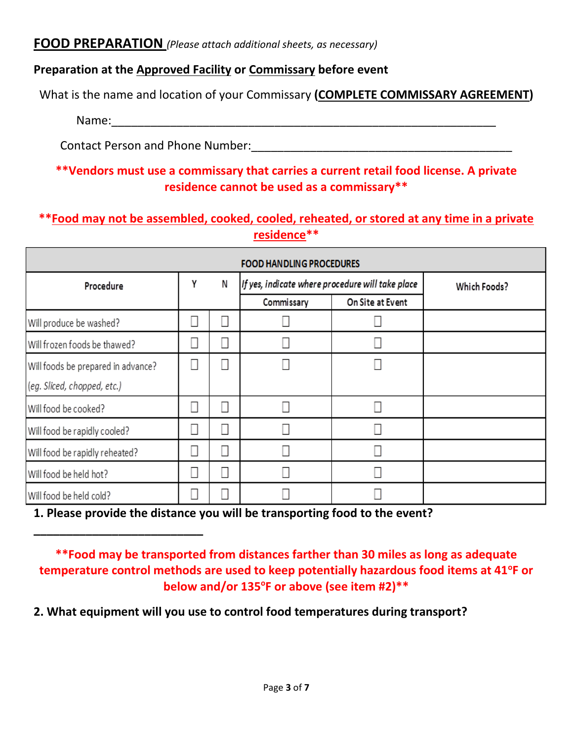## **FOOD PREPARATION** *(Please attach additional sheets, as necessary)*

## **Preparation at the Approved Facility or Commissary before event**

What is the name and location of your Commissary **(COMPLETE COMMISSARY AGREEMENT)**

Name:\_\_\_\_\_\_\_\_\_\_\_\_\_\_\_\_\_\_\_\_\_\_\_\_\_\_\_\_\_\_\_\_\_\_\_\_\_\_\_\_\_\_\_\_\_\_\_\_\_\_\_\_\_\_\_\_\_\_\_

**\_\_\_\_\_\_\_\_\_\_\_\_\_\_\_\_\_\_\_\_\_\_\_\_\_\_**

Contact Person and Phone Number: example and the set of the set of the set of the set of the set of the set of the set of the set of the set of the set of the set of the set of the set of the set of the set of the set of t

## **\*\*Vendors must use a commissary that carries a current retail food license. A private residence cannot be used as a commissary\*\***

## **\*\*Food may not be assembled, cooked, cooled, reheated, or stored at any time in a private residence\*\***

| <b>FOOD HANDLING PROCEDURES</b>    |   |   |                                                  |                  |                     |
|------------------------------------|---|---|--------------------------------------------------|------------------|---------------------|
| Procedure                          | γ | N | If yes, indicate where procedure will take place |                  | <b>Which Foods?</b> |
|                                    |   |   | Commissary                                       | On Site at Event |                     |
| Will produce be washed?            |   |   |                                                  |                  |                     |
| Will frozen foods be thawed?       |   |   |                                                  |                  |                     |
| Will foods be prepared in advance? |   |   |                                                  |                  |                     |
| (eg. Sliced, chopped, etc.)        |   |   |                                                  |                  |                     |
| Will food be cooked?               | Π |   |                                                  |                  |                     |
| Will food be rapidly cooled?       |   |   |                                                  |                  |                     |
| Will food be rapidly reheated?     |   |   |                                                  |                  |                     |
| Will food be held hot?             |   |   |                                                  |                  |                     |
| Will food be held cold?            |   |   |                                                  |                  |                     |

**1. Please provide the distance you will be transporting food to the event?** 

**\*\*Food may be transported from distances farther than 30 miles as long as adequate temperature control methods are used to keep potentially hazardous food items at 41<sup>o</sup> F or below and/or 135<sup>o</sup> F or above (see item #2)\*\***

**2. What equipment will you use to control food temperatures during transport?**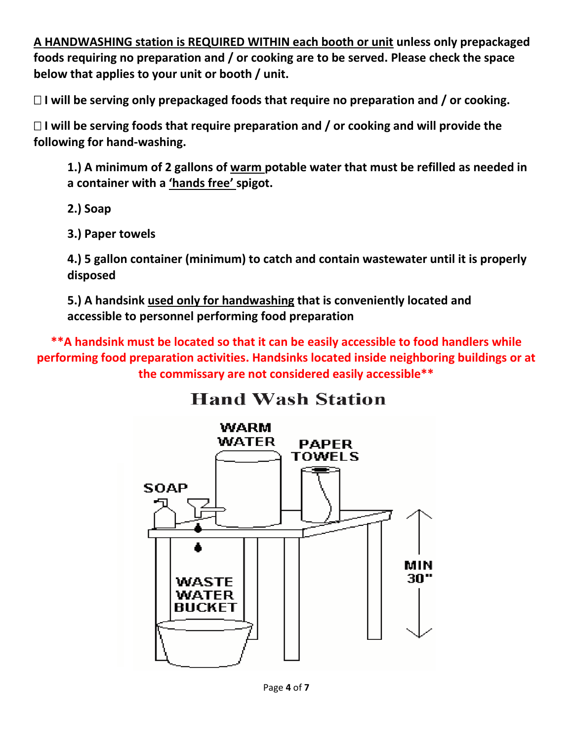**A HANDWASHING station is REQUIRED WITHIN each booth or unit unless only prepackaged foods requiring no preparation and / or cooking are to be served. Please check the space below that applies to your unit or booth / unit.**

**I will be serving only prepackaged foods that require no preparation and / or cooking.**

 **I will be serving foods that require preparation and / or cooking and will provide the following for hand-washing.**

**1.) A minimum of 2 gallons of warm potable water that must be refilled as needed in a container with a 'hands free' spigot.**

- **2.) Soap**
- **3.) Paper towels**

**4.) 5 gallon container (minimum) to catch and contain wastewater until it is properly disposed**

**5.) A handsink used only for handwashing that is conveniently located and accessible to personnel performing food preparation**

**\*\*A handsink must be located so that it can be easily accessible to food handlers while performing food preparation activities. Handsinks located inside neighboring buildings or at the commissary are not considered easily accessible\*\***

# **Hand Wash Station**

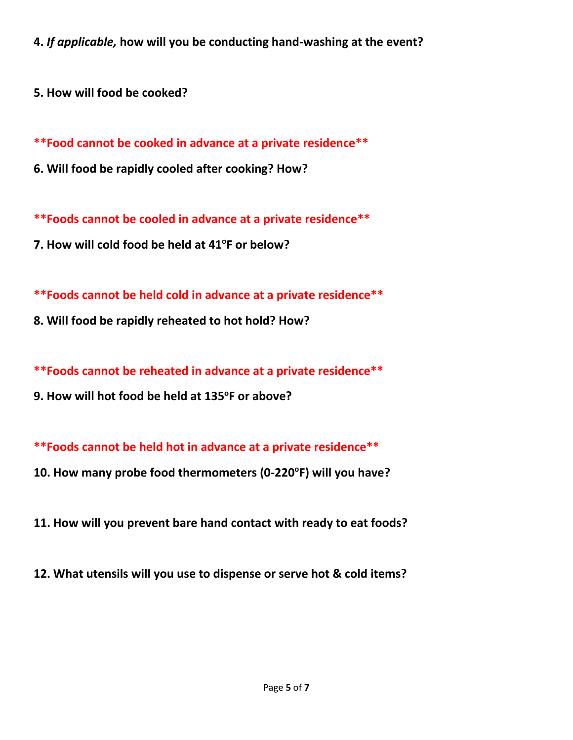**4.** *If applicable,* **how will you be conducting hand-washing at the event?**

**5. How will food be cooked?**

**\*\*Food cannot be cooked in advance at a private residence\*\***

**6. Will food be rapidly cooled after cooking? How?**

**\*\*Foods cannot be cooled in advance at a private residence\*\***

**7. How will cold food be held at 41<sup>o</sup> F or below?**

**\*\*Foods cannot be held cold in advance at a private residence\*\***

**8. Will food be rapidly reheated to hot hold? How?**

**\*\*Foods cannot be reheated in advance at a private residence\*\***

**9. How will hot food be held at 135<sup>o</sup> F or above?**

**\*\*Foods cannot be held hot in advance at a private residence\*\***

- **10. How many probe food thermometers (0-220<sup>o</sup> F) will you have?**
- **11. How will you prevent bare hand contact with ready to eat foods?**
- **12. What utensils will you use to dispense or serve hot & cold items?**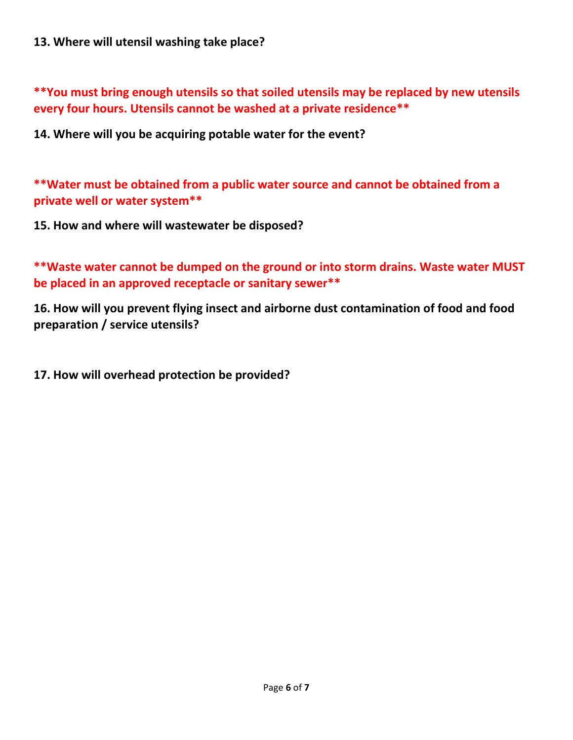#### **13. Where will utensil washing take place?**

**\*\*You must bring enough utensils so that soiled utensils may be replaced by new utensils every four hours. Utensils cannot be washed at a private residence\*\***

**14. Where will you be acquiring potable water for the event?**

**\*\*Water must be obtained from a public water source and cannot be obtained from a private well or water system\*\***

**15. How and where will wastewater be disposed?**

**\*\*Waste water cannot be dumped on the ground or into storm drains. Waste water MUST be placed in an approved receptacle or sanitary sewer\*\***

**16. How will you prevent flying insect and airborne dust contamination of food and food preparation / service utensils?**

**17. How will overhead protection be provided?**